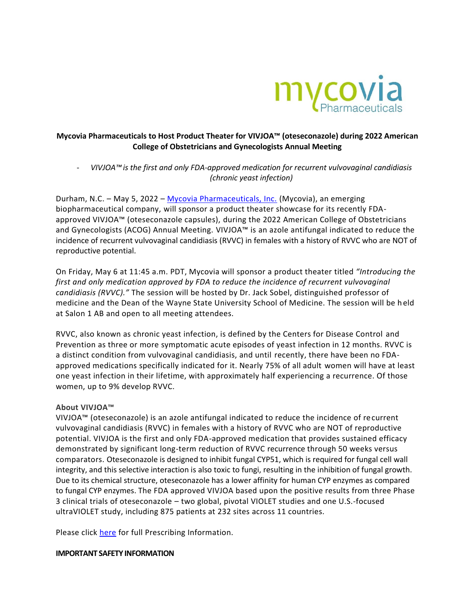

# **Mycovia Pharmaceuticals to Host Product Theater for VIVJOA™ (oteseconazole) during 2022 American College of Obstetricians and Gynecologists Annual Meeting**

- *VIVJOA™ is the first and only FDA-approved medication for recurrent vulvovaginal candidiasis (chronic yeast infection)*

Durham, N.C. – May 5, 2022 – [Mycovia Pharmaceuticals, Inc.](https://www.mycovia.com/) (Mycovia), an emerging biopharmaceutical company, will sponsor a product theater showcase for its recently FDAapproved VIVJOA™ (oteseconazole capsules), during the 2022 American College of Obstetricians and Gynecologists (ACOG) Annual Meeting. VIVJOA™ is an azole antifungal indicated to reduce the incidence of recurrent vulvovaginal candidiasis (RVVC) in females with a history of RVVC who are NOT of reproductive potential.

On Friday, May 6 at 11:45 a.m. PDT, Mycovia will sponsor a product theater titled *"Introducing the*  first and only medication approved by FDA to reduce the incidence of recurrent vulvovaginal *candidiasis (RVVC)."* The session will be hosted by Dr. Jack Sobel, distinguished professor of medicine and the Dean of the Wayne State University School of Medicine. The session will be held at Salon 1 AB and open to all meeting attendees.

RVVC, also known as chronic yeast infection, is defined by the Centers for Disease Control and Prevention as three or more symptomatic acute episodes of yeast infection in 12 months. RVVC is a distinct condition from vulvovaginal candidiasis, and until recently, there have been no FDAapproved medications specifically indicated for it. Nearly 75% of all adult women will have at least one yeast infection in their lifetime, with approximately half experiencing a recurrence. Of those women, up to 9% develop RVVC.

## **About VIVJOA™**

VIVJOA™ (oteseconazole) is an azole antifungal indicated to reduce the incidence of recurrent vulvovaginal candidiasis (RVVC) in females with a history of RVVC who are NOT of reproductive potential. VIVJOA is the first and only FDA-approved medication that provides sustained efficacy demonstrated by significant long-term reduction of RVVC recurrence through 50 weeks versus comparators. Oteseconazole is designed to inhibit fungal CYP51, which is required for fungal cell wall integrity, and this selective interaction is also toxic to fungi, resulting in the inhibition of fungal growth. Due to its chemical structure, oteseconazole has a lower affinity for human CYP enzymes as compared to fungal CYP enzymes. The FDA approved VIVJOA based upon the positive results from three Phase 3 clinical trials of oteseconazole – two global, pivotal VIOLET studies and one U.S.-focused ultraVIOLET study, including 875 patients at 232 sites across 11 countries.

Please click [here](http://mycovia.com/PI) for full Prescribing Information.

#### **IMPORTANT SAFETY INFORMATION**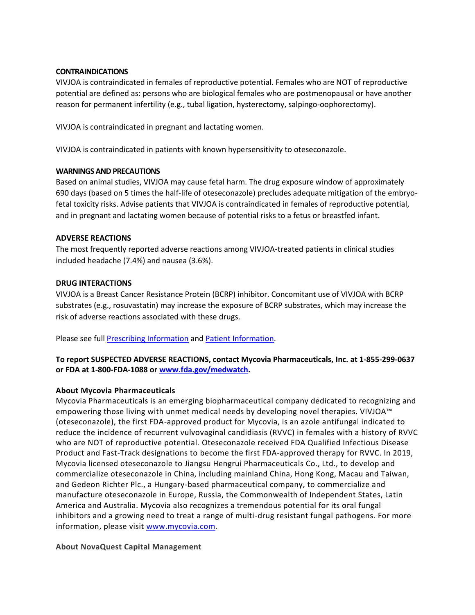### **CONTRAINDICATIONS**

VIVJOA is contraindicated in females of reproductive potential. Females who are NOT of reproductive potential are defined as: persons who are biological females who are postmenopausal or have another reason for permanent infertility (e.g., tubal ligation, hysterectomy, salpingo-oophorectomy).

VIVJOA is contraindicated in pregnant and lactating women.

VIVJOA is contraindicated in patients with known hypersensitivity to oteseconazole.

### **WARNINGS AND PRECAUTIONS**

Based on animal studies, VIVJOA may cause fetal harm. The drug exposure window of approximately 690 days (based on 5 times the half-life of oteseconazole) precludes adequate mitigation of the embryofetal toxicity risks. Advise patients that VIVJOA is contraindicated in females of reproductive potential, and in pregnant and lactating women because of potential risks to a fetus or breastfed infant.

### **ADVERSE REACTIONS**

The most frequently reported adverse reactions among VIVJOA-treated patients in clinical studies included headache (7.4%) and nausea (3.6%).

### **DRUG INTERACTIONS**

VIVJOA is a Breast Cancer Resistance Protein (BCRP) inhibitor. Concomitant use of VIVJOA with BCRP substrates (e.g., rosuvastatin) may increase the exposure of BCRP substrates, which may increase the risk of adverse reactions associated with these drugs.

Please see ful[l Prescribing Information](http://mycovia.com/PI) and [Patient Information.](http://mycovia.com/PPI)

# **To report SUSPECTED ADVERSE REACTIONS, contact Mycovia Pharmaceuticals, Inc. at 1-855-299-0637 or FDA at 1-800-FDA-1088 or [www.fda.gov/medwatch.](http://www.fda.gov/medwatch)**

## **About Mycovia Pharmaceuticals**

Mycovia Pharmaceuticals is an emerging biopharmaceutical company dedicated to recognizing and empowering those living with unmet medical needs by developing novel therapies. VIVJOA™ (oteseconazole), the first FDA-approved product for Mycovia, is an azole antifungal indicated to reduce the incidence of recurrent vulvovaginal candidiasis (RVVC) in females with a history of RVVC who are NOT of reproductive potential. Oteseconazole received FDA Qualified Infectious Disease Product and Fast-Track designations to become the first FDA-approved therapy for RVVC. In 2019, Mycovia licensed oteseconazole to Jiangsu Hengrui Pharmaceuticals Co., Ltd., to develop and commercialize oteseconazole in China, including mainland China, Hong Kong, Macau and Taiwan, and Gedeon Richter Plc., a Hungary-based pharmaceutical company, to commercialize and manufacture oteseconazole in Europe, Russia, the Commonwealth of Independent States, Latin America and Australia. Mycovia also recognizes a tremendous potential for its oral fungal inhibitors and a growing need to treat a range of multi-drug resistant fungal pathogens. For more information, please visit [www.mycovia.com.](http://www.mycovia.com/)

## **About NovaQuest Capital Management**